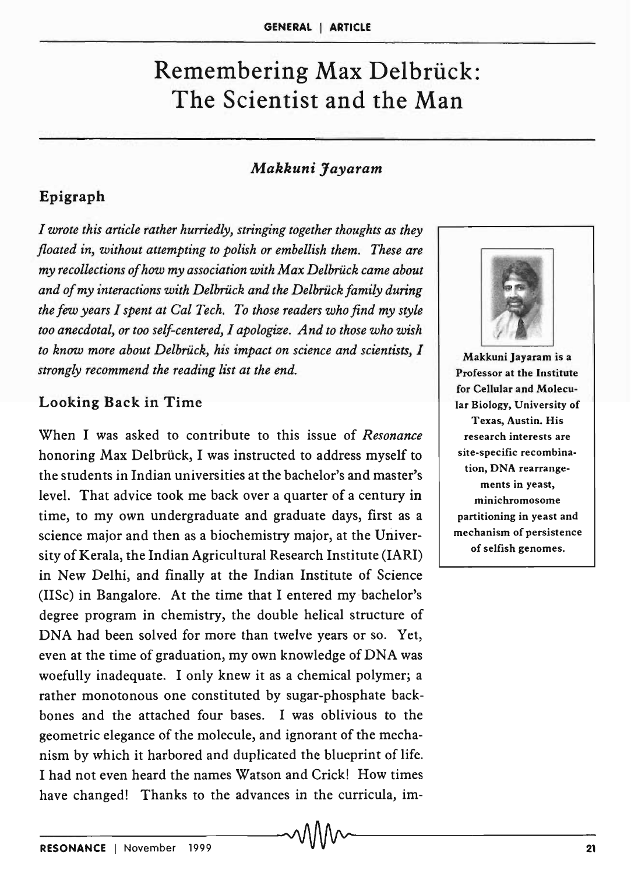# Remembering Max Delbriick: The Scientist and the Man

#### *Makkuni Jayaram*

#### Epigraph

*I wrote this article rather hurriedly, stringing together thoughts as they floated in, without attempting to polish or embellish them. These are my recollections of how my association with Max Delbrilck came about*  and of my interactions with Delbrück and the Delbrück family during *the few years I spent at Cal Tech. To those readers who find my style*  too anecdotal, or too self-centered, I apologize. And to those who wish *to know more about Delbrilck, his impact on science and scientists, I strongly recommend the reading list at the end.* 

#### Looking Back in Time

When I was asked to contribute to this issue of *Resonance*  honoring Max Delbriick, I was instructed to address myself to the students in Indian universities at the bachelor's and master's level. That advice took me back over a quarter of a century in time, to my own undergraduate and graduate days, first as a science major and then as a biochemistry major, at the University of Kerala, the Indian Agricultural Research Institute (IARI) in New Delhi, and finally at the Indian Institute of Science (IISc) in Bangalore. At the time that I entered my bachelor's degree program in chemistry, the double helical structure of DNA had been solved for more than twelve years or so. Yet, even at the time of graduation, my own knowledge of DNA was woefully inadequate. I only knew it as a chemical polymer; a rather monotonous one constituted by sugar-phosphate backbones and the attached four bases. I was oblivious to the geometric elegance of the molecule, and ignorant of the mechanism by which it harbored and duplicated the blueprint of life. I had not even heard the names Watson and Crick! How times have changed! Thanks to the advances in the curricula, im-



Makkuni Jayaram is a Professor at the Institute for Cellular and Molecular Biology, University of Texas, Austin. His research interests are site-specific recombination, DNA rearrangements in yeast, minichromosome partitioning in yeast and mechanism of persistence of selfish genomes.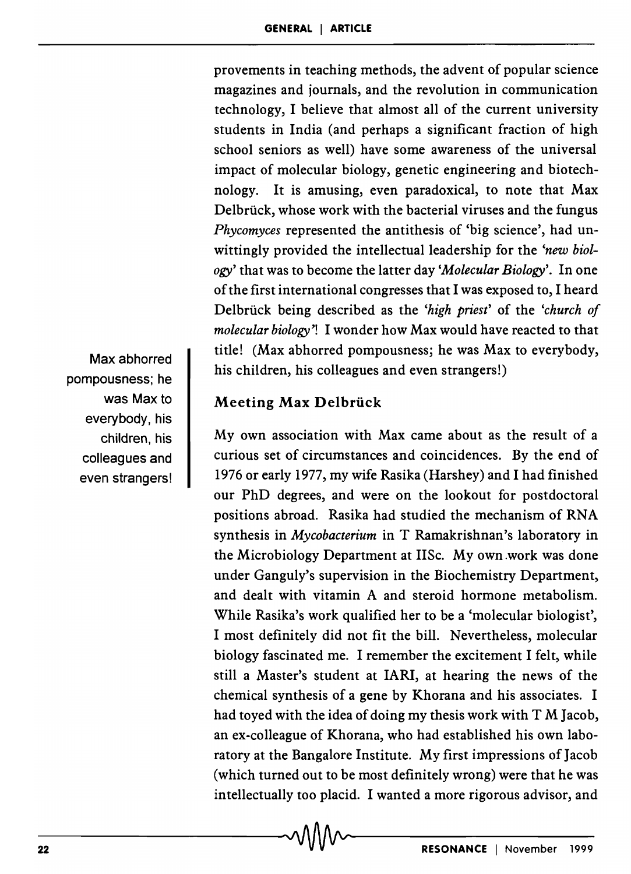provements in teaching methods, the advent of popular science magazines and journals, and the revolution in communication technology, I believe that almost all of the current university students in India (and perhaps a significant fraction of high school seniors as well) have some awareness of the universal impact of molecular biology, genetic engineering and biotechnology. It is amusing, even paradoxical, to note that Max Delbrück, whose work with the bacterial viruses and the fungus *Phycomyces* represented the antithesis of 'big science', had unwittingly provided the intellectual leadership for the *'new biology'* that was to become the latter day *'Molecular Biology'.* In one of the first international congresses that I was exposed to, I heard Delbruck being described as the *'high priest'* of the *'church of molecular biology'!* I wonder how Max would have reacted to that title! (Max abhorred pompousness; he was Max to everybody, his children, his colleagues and even strangers!)

#### Meeting Max Delbrück

My own association with Max came about as the result of a curious set of circumstances and coincidences. By the end of 1976 or early 1977, my wife Rasika (Harshey) and I had finished our PhD degrees, and were on the lookout for postdoctoral positions abroad. Rasika had studied the mechanism of RNA synthesis in *Mycobacterium* in T Ramakrishnan's laboratory in the Microbiology Department at lISe. My own .work was done under Ganguly's supervision in the Biochemistry Department, and dealt with vitamin A and steroid hormone metabolism. While Rasika's work qualified her to be a 'molecular biologist', I most definitely did not fit the bill. Nevertheless, molecular biology fascinated me. I remember the excitement I felt, while still a Master's student at IARI, at hearing the news of the chemical synthesis of a gene by Khorana and his associates. I had toyed with the idea of doing my thesis work with T M Jacob, an ex-colleague of Khorana, who had established his own laboratory at the Bangalore Institute. My first impressions of Jacob (which turned out to be most definitely wrong) were that he was intellectually too placid. I wanted a more rigorous advisor, and

Max abhorred pompousness; he was Max to everybody, his children, his colleagues and even strangers!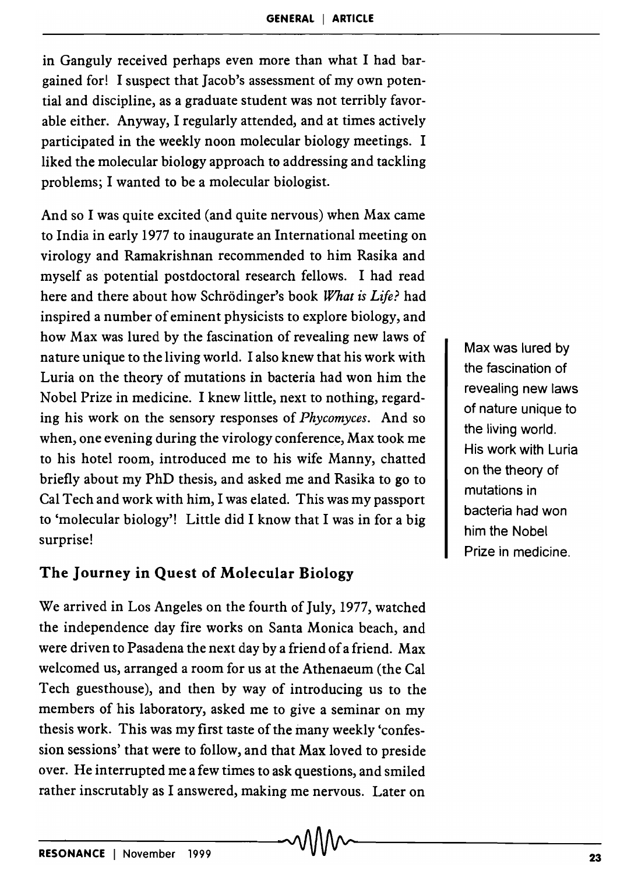in Ganguly received perhaps even more than what I had bargained for! I suspect that Jacob's assessment of my own potential and discipline, as a graduate student was not terribly favorable either. Anyway, I regularly attended, and at times actively participated in the weekly noon molecular biology meetings. I liked the molecular biology approach to addressing and tackling problems; I wanted to be a molecular biologist.

And so I was quite excited (and quite nervous) when Max came to India in early 1977 to inaugurate an International meeting on virology and Ramakrishnan recommended to him Rasika and myself as potential postdoctoral research fellows. I had read here and there about how Schrodinger's book *What* is *Life?* had inspired a number of eminent physicists to explore biology, and how Max was lured by the fascination of revealing new laws of nature unique to the living world. I also knew that his work with Luria on the theory of mutations in bacteria had won him the Nobel Prize in medicine. I knew little, next to nothing, regarding his work on the sensory responses of *Phycomyces.* And so when, one evening during the virology conference, Max took me to his hotel room, introduced me to his wife Manny, chatted briefly about my PhD thesis, and asked me and Rasika to go to Cal Tech and work with him, I was elated. This was my passport to 'molecular biology'! Little did I know that I was in for a big surprise!

### **The Journey in Quest of Molecular Biology**

We arrived in Los Angeles on the fourth of July, 1977, watched the independence day fire works on Santa Monica beach, and were driven to Pasadena the next day by a friend of a friend. Max welcomed us, arranged a room for us at the Athenaeum (the Cal Tech guesthouse), and then by way of introducing us to the members of his laboratory, asked me to give a seminar on my thesis work. This was my first taste of the many weekly 'confession sessions' that were to follow, and that Max loved to preside over. He interrupted me a few times to ask questions, and smiled rather inscrutably as I answered, making me nervous. Later on

Max was lured by the fascination of revealing new laws of nature unique to the living world. His work with Luria on the theory of mutations in bacteria had won him the Nobel Prize in medicine.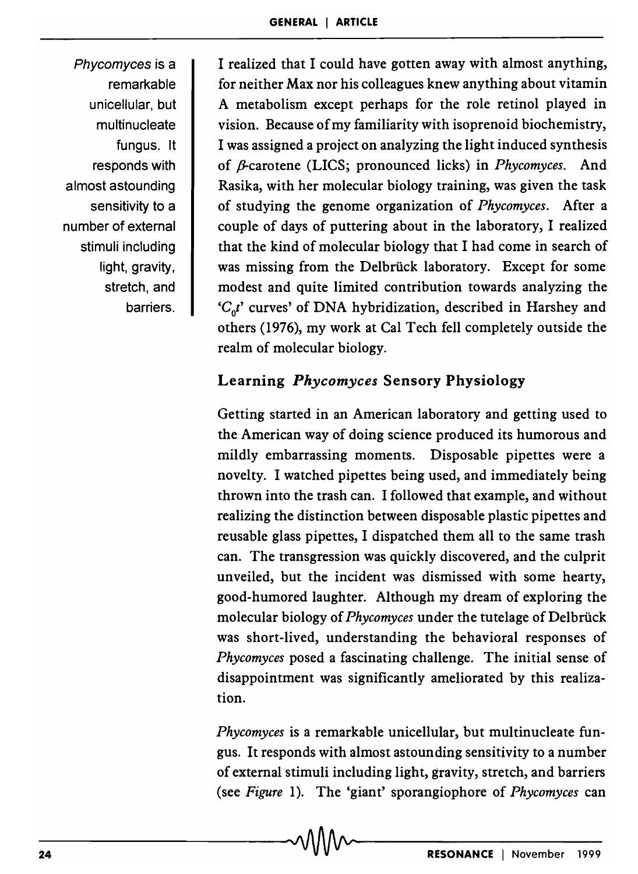Phycomyces is a remarkable unicellular, but multinucleate fungus. It responds with almost astounding sensitivity to a number of external stimuli including light, gravity, stretch, and barriers.

I realized that I could have gotten away with almost anything, for neither Max nor his colleagues knew anything about vitamin A metabolism except perhaps for the role retinol played in vision. Because of my familiarity with isoprenoid biochemistry, I was assigned a project on analyzing the light induced synthesis of *β*-carotene (LICS; pronounced licks) in *Phycomyces*. And Rasika, with her molecular biology training, was given the task of studying the genome organization of *Phycomyces.* After a couple of days of puttering about in the laboratory, I realized that the kind of molecular biology that I had come in search of was missing from the Delbrück laboratory. Except for some modest and quite limited contribution towards analyzing the 'C<sub>o</sub>t' curves' of DNA hybridization, described in Harshey and others (1976), my work at Cal Tech fell completely outside the realm of molecular biology.

### Learning *Phycomyces* Sensory Physiology

Getting started in an American laboratory and getting used to the American way of doing science produced its humorous and mildly embarrassing moments. Disposable pipettes were a novelty. I watched pipettes being used, and immediately being thrown into the trash can. I followed that example, and without realizing the distinction between disposable plastic pipettes and reusable glass pipettes, I dispatched them all to the same trash can. The transgression was quickly discovered, and the culprit unveiled, but the incident was dismissed with some hearty, good-humored laughter. Although my dream of exploring the molecular biology of *Phycomyces* under the tutelage of Delbrück was short-lived, understanding the behavioral responses of *Phycomyces* posed a fascinating challenge. The initial sense of disappointment was significantly ameliorated by this realization.

*Phycomyces* is a remarkable unicellular, but multinucleate fungus. It responds with almost astounding sensitivity to a number of external stimuli including light, gravity, stretch, and barriers (see *Figure* 1). The 'giant' sporangiophore of *Phycomyces* can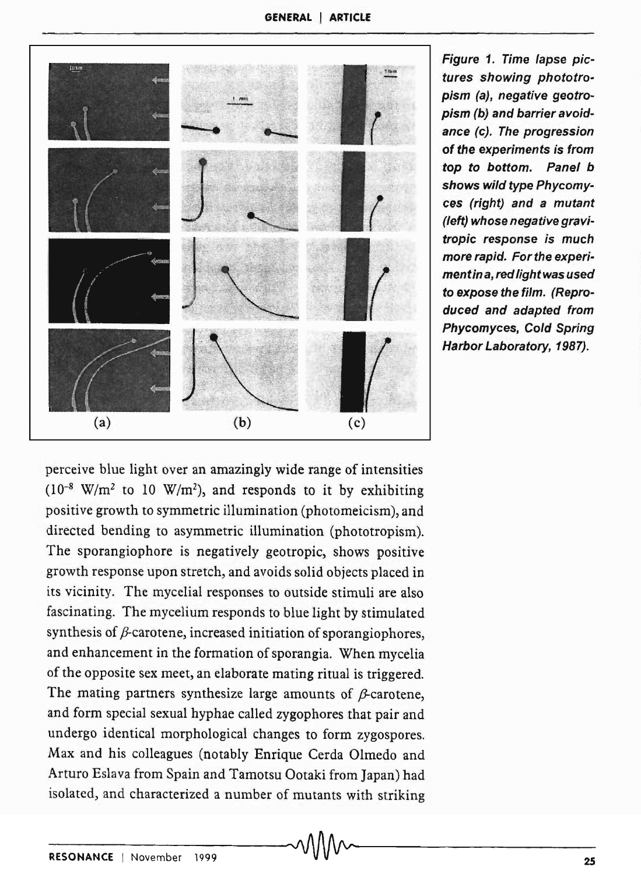

Figure 1. Time lapse pictures showing phototropism (a), negative geotropism (b) and barrier avoidance (c). The progression of the experiments is from top to bottom. Panel b shows wild type Phycomyces (right) and a mutant (left) whose negative gravitropic response is much more rapid. For the experiment in a, red light was used to expose the film. (Reproduced and adapted from Phycomyces, Cold Spring Harbor Laboratory, 1987).

perceive blue light over an amazingly wide range of intensities  $(10^{-8} \text{ W/m}^2$  to 10 W/m<sup>2</sup>), and responds to it by exhibiting positive growth to symmetric illumination (photomeicism), and directed bending to asymmetric illumination (phototropism). The sporangiophore is negatively geotropic, shows positive growth response upon stretch, and avoids solid objects placed in its vicinity. The mycelial responses to outside stimuli are also fascinating. The mycelium responds to blue light by stimulated synthesis of  $\beta$ -carotene, increased initiation of sporangiophores, and enhancement in the formation of sporangia. When mycelia of the opposite sex meet, an elaborate mating ritual is triggered. The mating partners synthesize large amounts of  $\beta$ -carotene, and form special sexual hyphae called zygophores that pair and undergo identical morphological changes to form zygospores. Max and his colleagues (notably Enrique Cerda Olmedo and Arturo Eslava from Spain and Tamotsu Ootaki from Japan) had isolated, and characterized a number of mutants with striking \_\_\_\_\_\_\_\_ ,~AnA~~ \_\_\_\_\_\_ \_\_ RESONANCE I November 1999 v V V V V V" 2S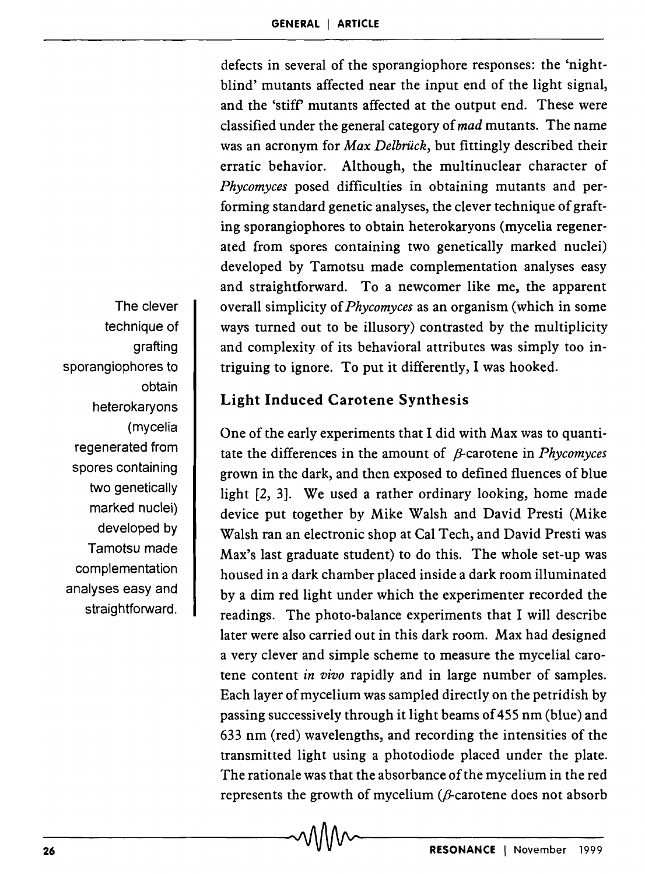defects in several of the sporangiophore responses: the 'nightblind' mutants affected near the input end of the light signal, and the 'stiff mutants affected at the output end. These were classified under the general category of *mad* mutants. The name was an acronym for *Max Delbrück*, but fittingly described their erratic behavior. Although, the multinuclear character of *Phycomyces* posed difficulties in obtaining mutants and performing standard genetic analyses, the clever technique of grafting sporangiophores to obtain heterokaryons (mycelia regenerated from spores containing two genetically marked nuclei) developed by Tamotsu made complementation analyses easy and straightforward. To a newcomer like me, the apparent overall simplicity of *Phycomyces* as an organism (which in some ways turned out to be illusory) contrasted by the multiplicity and complexity of its behavioral attributes was simply too intriguing to ignore. To put it differently, I was hooked.

#### **Light Induced Carotene Synthesis**

One of the early experiments that I did with Max was to quantitate the differences in the amount of  $\beta$ -carotene in *Phycomyces* grown in the dark, and then exposed to defined fluences of blue light [2, 3]. We used a rather ordinary looking, home made device put together by Mike Walsh and David Presti (Mike Walsh ran an electronic shop at Cal Tech, and David Presti was Max's last graduate student) to do this. The whole set-up was housed in a dark chamber placed inside a dark room illuminated by a dim red light under which the experimenter recorded the readings. The photo-balance experiments that I will describe later were also carried out in this dark room. Max had designed a very clever and simple scheme to measure the mycelial carotene content *in vivo* rapidly and in large number of samples. Each layer of mycelium was sampled directly on the petridish by passing successively through it light beams of 455 nm (blue) and 633 nm (red) wavelengths, and recording the intensities of the transmitted light using a photodiode placed under the plate. The rationale was that the absorbance of the mycelium in the red represents the growth of mycelium ( $\beta$ -carotene does not absorb

The clever technique of grafting sporangiophores to obtain heterokaryons (mycelia regenerated from spores containing two genetically marked nuclei) developed by Tamotsu made complementation analyses easy and straightforward.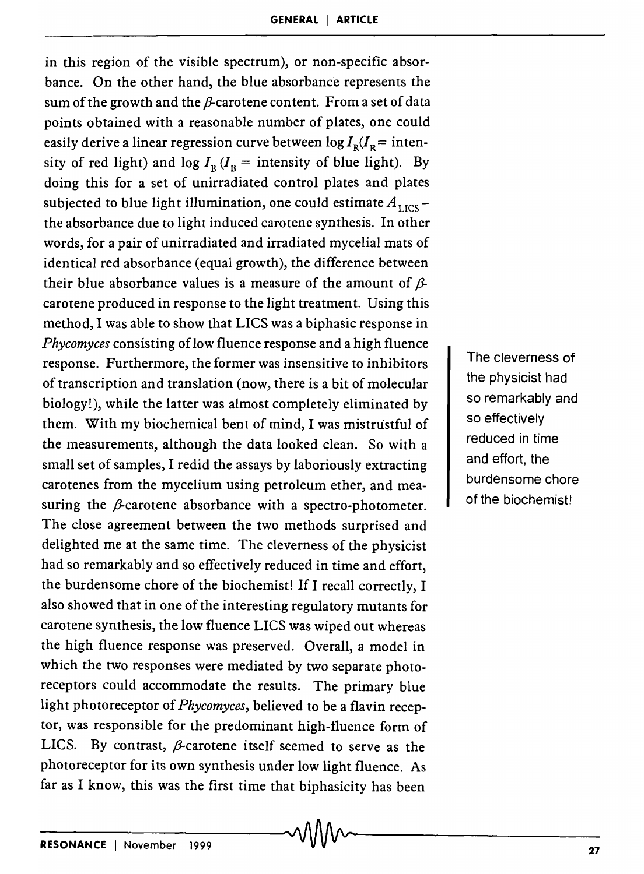in this region of the visible spectrum), or non-specific absorbance. On the other hand, the blue absorbance represents the sum of the growth and the  $\beta$ -carotene content. From a set of data points obtained with a reasonable number of plates, one could easily derive a linear regression curve between  $\log I_R (I_R = \text{inten-}$ sity of red light) and log  $I_B (I_B = \text{intensity of blue light})$ . By doing this for a set of unirradiated control plates and plates subjected to blue light illumination, one could estimate  $A_{\text{LICS}}$  the absorbance due to light induced carotene synthesis. In other words, for a pair of unirradiated and irradiated mycelial mats of identical red absorbance (equal growth), the difference between their blue absorbance values is a measure of the amount of  $\beta$ carotene produced in response to the light treatment. Using this method, I was able to show that LICS was a biphasic response in *Phycomyces* consisting of low fluence response and a high fluence response. Furthermore, the former was insensitive to inhibitors of transcription and translation (now, there is a bit of molecular biology!), while the latter was almost completely eliminated by them. With my biochemical bent of mind, I was mistrustful of the measurements, although the data looked clean. So with a small set of samples, I redid the assays by laboriously extracting carotenes from the mycelium using petroleum ether, and measuring the  $\beta$ -carotene absorbance with a spectro-photometer. The close agreement between the two methods surprised and delighted me at the same time. The cleverness of the physicist had so remarkably and so effectively reduced in time and effort, the burdensome chore of the biochemist! If I recall correctly, I also showed that in one of the interesting regulatory mutants for carotene synthesis, the low fluence LICS was wiped out whereas the high fluence response was preserved. Overall, a model in which the two responses were mediated by two separate photoreceptors could accommodate the results. The primary blue light photoreceptor of *Phycomyces,* believed to be a flavin receptor, was responsible for the predominant high-fluence form of LICS. By contrast,  $\beta$ -carotene itself seemed to serve as the photoreceptor for its own synthesis under low light fluence. As far as I know, this was the first time that biphasicity has been

The cleverness of the physicist had so remarkably and so effectively reduced in time and effort, the burdensome chore of the biochemist!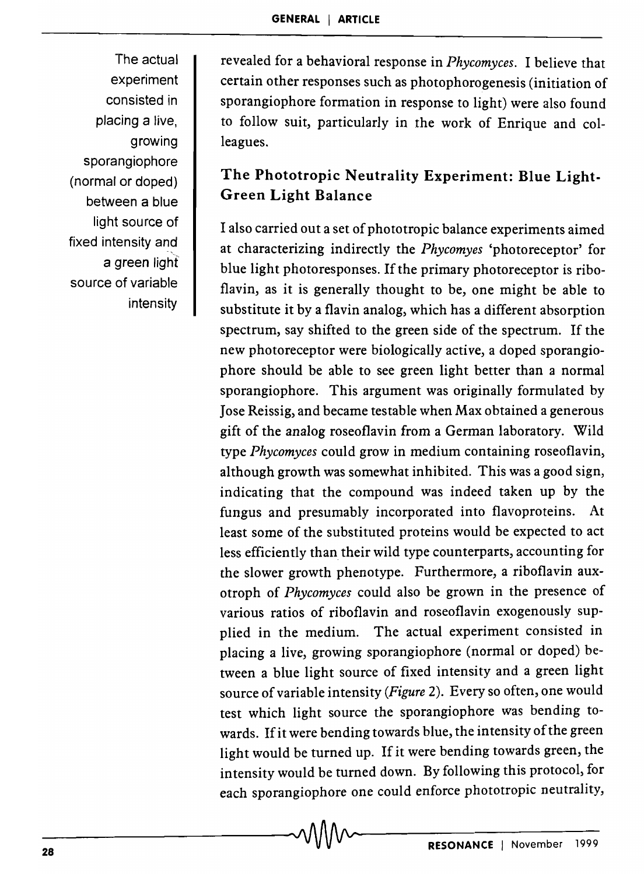The actual experiment consisted in placing a live, growing sporangiophore (normal or doped) between a blue light source of fixed intensity and a green light source of variable intensity

revealed for a behavioral response in *Phycomyces.* I believe that certain other responses such as photophorogenesis (initiation of sporangiophore formation in response to light) were also found to follow suit, particularly in the work of Enrique and colleagues.

## The Phototropic Neutrality Experiment: Blue Light-Green Light Balance

I also carried out a set of phototropic balance experiments aimed at characterizing indirectly the *Phycomyes* 'photoreceptor' for blue light photoresponses. If the primary photoreceptor is riboflavin, as it is generally thought to be, one might be able to substitute it by a flavin analog, which has a different absorption spectrum, say shifted to the green side of the spectrum. If the new photoreceptor were biologically active, a doped sporangiophore should be able to see green light better than a normal sporangiophore. This argument was originally formulated by Jose Reissig, and became testable when Max obtained a generous gift of the analog roseoflavin from a German laboratory. Wild type *Phycomyces* could grow in medium containing roseoflavin, although growth was somewhat inhibited. This was a good sign, indicating that the compound was indeed taken up by the fungus and presumably incorporated into flavoproteins. At least some of the substituted proteins would be expected to act less efficiently than their wild type counterparts, accounting for the slower growth phenotype. Furthermore, a riboflavin auxotroph of *Phycomyces* could also be grown in the presence of various ratios of riboflavin and roseoflavin exogenously supplied in the medium. The actual experiment consisted in placing a live, growing sporangiophore (normal or doped) between a blue light source of fixed intensity and a green light source of variable intensity *(Figure* 2). Every so often, one would test which light source the sporangiophore was bending towards. If it were bending towards blue, the intensity of the green light would be turned up. If it were bending towards green, the intensity would be turned down. By following this protocol, for each sporangiophore one could enforce phototropic neutrality,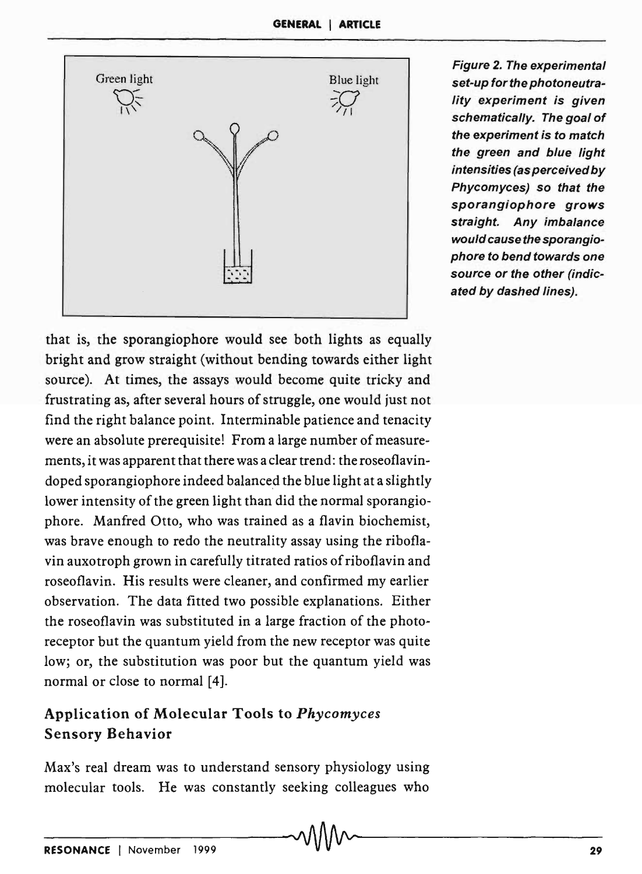

Figure 2. The experimental set-up for the photoneutrality experiment is given schematically. The goal of the experiment is to match the green and blue light intensities (as perceived by Phycomyces) so that the sporangiophore grows straight. Any imbalance would cause the sporangiophore to bend towards one source or the other (indicated by dashed lines).

that is, the sporangiophore would see both lights as equally bright and grow straight (without bending towards either light source). At times, the assays would become quite tricky and frustrating as, after several hours of struggle, one would just not find the right balance point. Interminable patience and tenacity were an absolute prerequisite! From a large number of measurements, it was apparent that there was a clear trend: the roseoflavindoped sporangiophore indeed balanced the blue light at a slightly lower intensity of the green light than did the normal sporangiophore. Manfred Otto, who was trained as a flavin biochemist, was brave enough to redo the neutrality assay using the riboflavin auxotroph grown in carefully titrated ratios of riboflavin and roseoflavin. His results were cleaner, and confirmed my earlier observation. The data fitted two possible explanations. Either the roseoflavin was substituted in a large fraction of the photoreceptor but the quantum yield from the new receptor was quite low; or, the substitution was poor but the quantum yield was normal or close to normal [4].

## Application of Molecular Tools to *Phycomyces*  Sensory Behavior

Max's real dream was to understand sensory physiology using molecular tools. He was constantly seeking colleagues who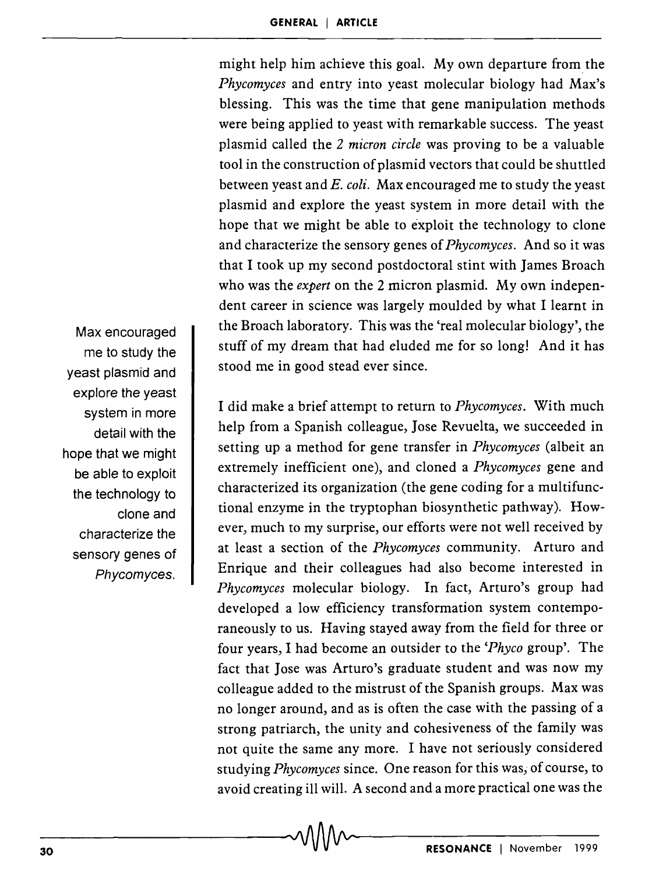might help him achieve this goal. My own departure from the *Phycomyces* and entry into yeast molecular biology had Max's blessing. This was the time that gene manipulation methods were being applied to yeast with remarkable success. The yeast plasmid called the 2 *micron circle* was proving to be a valuable tool in the construction of plasmid vectors that could be shuttled between yeast and *E. coli.* Max encouraged me to study the yeast plasmid and explore the yeast system in more detail with the hope that we might be able to exploit the technology to clone and characterize the sensory genes of *Phycomyces.* And so it was that I took up my second postdoctoral stint with James Broach who was the *expert* on the 2 micron plasmid. My own independent career in science was largely moulded by what I learnt in the Broach laboratory. This was the 'real molecular biology', the stuff of my dream that had eluded me for so long! And it has stood me in good stead ever since.

I did make a brief attempt to return to *Phycomyces.* With much help from a Spanish colleague, Jose Revuelta, we succeeded in setting up a method for gene transfer in *Phycomyces* (albeit an extremely inefficient one), and cloned a *Phycomyces* gene and characterized its organization (the gene coding for a multifunctional enzyme in the tryptophan biosynthetic pathway). However, much to my surprise, our efforts were not well received by at least a section of the *Phycomyces* community. Arturo and Enrique and their colleagues had also become interested in *Phycomyces* molecular biology. In fact, Arturo's group had developed a low efficiency transformation system contemporaneously to us. Having stayed away from the field for three or four years, I had become an outsider to the *'Phyco* group'. The fact that Jose was Arturo's graduate student and was now my colleague added to the mistrust of the Spanish groups. Max was no longer around, and as is often the case with the passing of a strong patriarch, the unity and cohesiveness of the family was not quite the same any more. I have not seriously considered studying *Phycomyces* since. One reason for this was, of course, to avoid creating ill will. A second and a more practical one was the

Max encouraged me to study the yeast plasmid and explore the yeast system in more detail with the hope that we might be able to exploit the technology to clone and characterize the sensory genes of Phycomyces.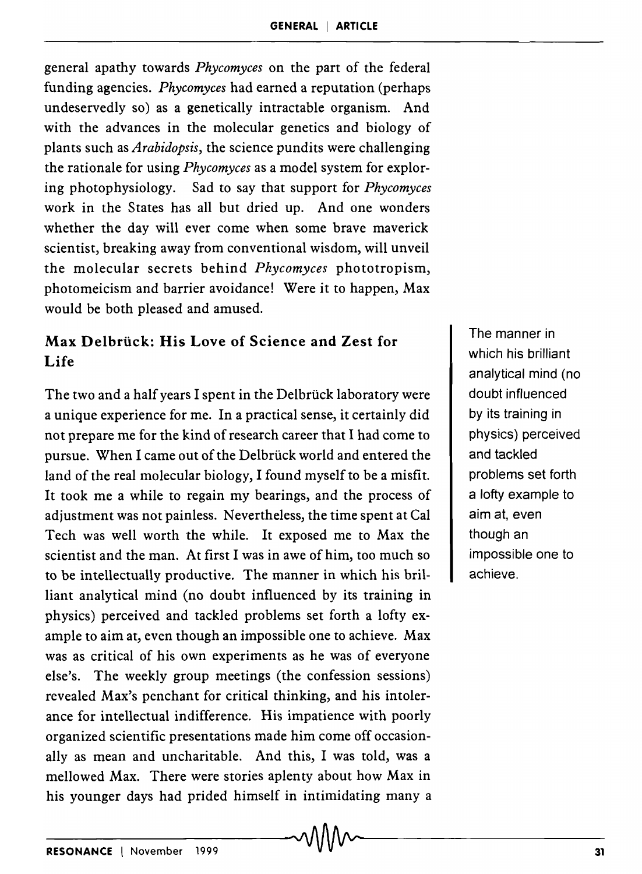general apathy towards *Phycomyces* on the part of the federal funding agencies. *Phycomyces* had earned a reputation (perhaps undeservedly so) as a genetically intractable organism. And with the advances in the molecular genetics and biology of plants such as *Arabidopsis,* the science pundits were challenging the rationale for using *Phycomyces* as a model system for exploring photophysiology. Sad to say that support for *Phycomyces*  work in the States has all but dried up. And one wonders whether the day will ever come when some brave maverick scientist, breaking away from conventional wisdom, will unveil the molecular secrets behind *Phycomyces* phototropism, photomeicism and barrier avoidance! Were it to happen, Max would be both pleased and amused.

## Max Delbriick: His Love of Science and Zest for Life

The two and a half years I spent in the Delbriick laboratory were a unique experience for me. In a practical sense, it certainly did not prepare me for the kind of research career that I had come to pursue. When I came out of the Delbriick world and entered the land of the real molecular biology, I found myself to be a misfit. It took me a while to regain my bearings, and the process of adjustment was not painless. Nevertheless, the time spent at Cal Tech was well worth the while. It exposed me to Max the scientist and the man. At first I was in awe of him, too much so to be intellectually productive. The manner in which his brilliant analytical mind (no doubt influenced by its training in physics) perceived and tackled problems set forth a lofty example to aim at, even though an impossible one to achieve. Max was as critical of his own experiments as he was of everyone else's. The weekly group meetings (the confession sessions) revealed Max's penchant for critical thinking, and his intolerance for intellectual indifference. His impatience with poorly organized scientific presentations made him come off occasionally as mean and uncharitable. And this, I was told, was a mellowed Max. There were stories aplenty about how Max in his younger days had prided himself in intimidating many a The manner in which his brilliant analytical mind (no doubt influenced by its training in physics) perceived and tackled problems set forth a lofty example to aim at, even though an impossible one to achieve.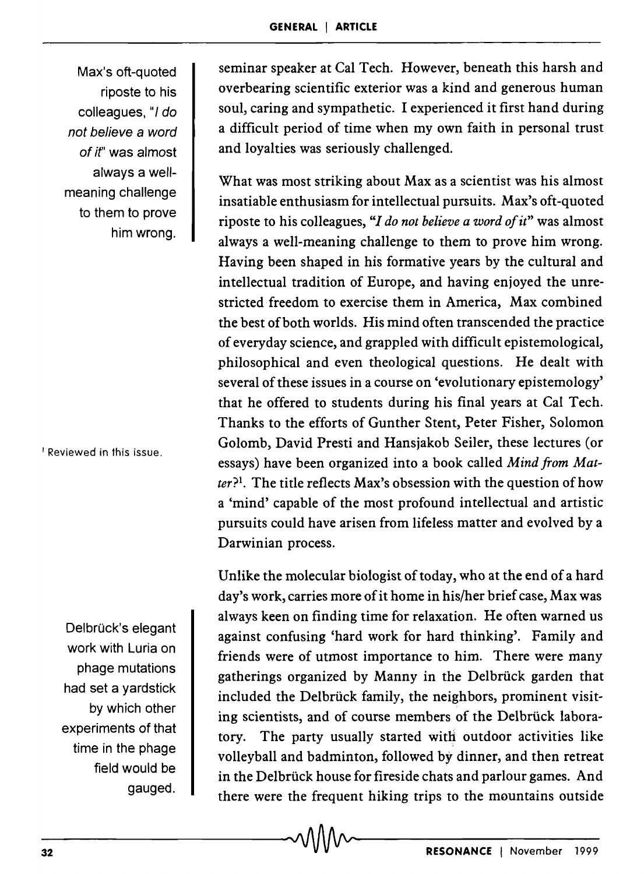Max's oft-quoted riposte to his colleagues, "I do not believe a word of if' was almost always a wellmeaning challenge to them to prove him wrong.

1 Reviewed in this issue.

Delbrück's elegant work with Luria on phage mutations had set a yardstick by which other experiments of that time in the phage field would be gauged.

seminar speaker at Cal Tech. However, beneath this harsh and overbearing scientific exterior was a kind and generous human soul, caring and sympathetic. I experienced it first hand during a difficult period of time when my own faith in personal trust and loyalties was seriously challenged.

What was most striking about Max as a scientist was his almost insatiable enthusiasm for intellectual pursuits. Max's oft-quoted riposte to his colleagues, "1 *do not believe a word of it"* was almost always a well-meaning challenge to them to prove him wrong. Having been shaped in his formative years by the cultural and intellectual tradition of Europe, and having enjoyed the unrestricted freedom to exercise them in America, Max combined the best of both worlds. His mind often transcended the practice of everyday science, and grappled with difficult epistemological, philosophical and even theological questions. He dealt with several of these issues in a course on 'evolutionary epistemology' that he offered to students during his final years at Cal Tech. Thanks to the efforts of Gunther Stent, Peter Fisher, Solomon Golomb, David Presti and Hansjakob Seiler, these lectures (or essays) have been organized into a book called *Mind from Matter?l.* The title reflects Max's obsession with the question of how a 'mind' capable of the most profound intellectual and artistic pursuits could have arisen from lifeless matter and evolved by a Darwinian process.

Unlike the molecular biologist of today, who at the end of a hard day's work, carries more of it home in his/her brief case, Max was always keen on finding time for relaxation. He often warned us against confusing 'hard work for hard thinking'. Family and friends were of utmost importance to him. There were many gatherings organized by Manny in the Delbriick garden that included the Delbriick family, the neighbors, prominent visiting scientists, and of course members of the Delbrück laboratory. The party usually started with outdoor activities like volleyball and badminton, followed by dinner, and then retreat in the Delbrück house for fireside chats and parlour games. And there were the frequent hiking trips to the mountains outside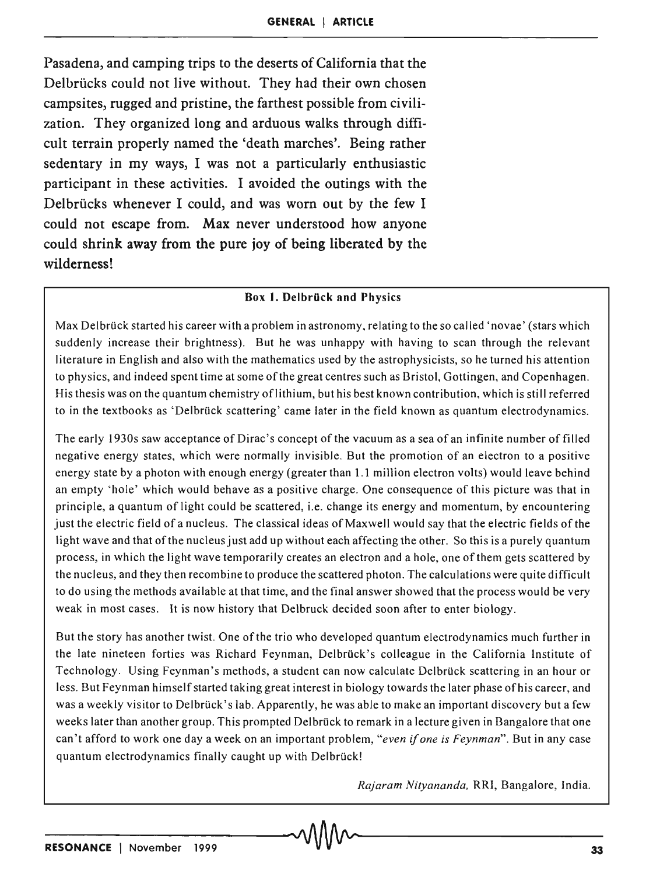Pasadena, and camping trips to the deserts of California that the Delbrücks could not live without. They had their own chosen campsites, rugged and pristine, the farthest possible from civilization. They organized long and arduous walks through difficult terrain properly named the 'death marches'. Being rather sedentary in my ways, I was not a particularly enthusiastic participant in these activities. I avoided the outings with the Delbrücks whenever I could, and was worn out by the few I could not escape from. Max never understood how anyone could shrink away from the pure joy of being liberated by the wildernessl

#### Box 1. Delbrück and Physics

Max Delbrück started his career with a problem in astronomy, relating to the so called 'novae' (stars which suddenly increase their brightness). But he was unhappy with having to scan through the relevant literature in English and also with the mathematics used by the astrophysicists, so he turned his attention to physics, and indeed spent time at some of the great centres such as Bristol, Gottingen, and Copenhagen. His thesis was on the quantum chemistry oflithium, but his best known contribution, which is still referred to in the textbooks as 'Delbriick scattering' came later in the field known as quantum electrodynamics.

The early 1930s saw acceptance of Dirac's concept of the vacuum as a sea of an infinite number of filled negative energy states, which were normally invisible. But the promotion of an electron to a positive energy state by a photon with enough energy (greater than 1.1 million electron volts) would leave behind an empty 'hole' which would behave as a positive charge. One consequence of this picture was that in principle, a quantum of light could be scattered, i.e. change its energy and momentum, by encountering just the electric field of a nucleus. The classical ideas of Maxwell would say that the electric fields of the light wave and that of the nucleus just add up without each affecting the other. So this is a purely quantum process, in which the light wave temporarily creates an electron and a hole, one of them gets scattered by the nucleus, and they then recombine to produce the scattered photon. The calculations were quite difficult to do using the methods available at that time, and the final answer showed that the process would be very weak in most cases. It is now history that Delbruck decided soon after to enter biology.

But the story has another twist. One of the trio who developed quantum electrodynamics much further in the late nineteen forties was Richard Feynman, Delbriick's colleague in the California Institute of Technology. Using Feynman's methods, a student can now calculate Delbriick scattering in an hour or less. But Feynman himself started taking great interest in biology towards the later phase of his career, and was a weekly visitor to Delbriick's lab. Apparently, he was able to make an important discovery but a few weeks later than another group. This prompted Delbriick to remark in a lecture given in Bangalore that one can't afford to work one day a week on an important problem, *"even lfone is Feynrnan".* But in any case quantum electrodynamics finally caught up with Delbriick!

*Rajaram Nityananda.* RRI, Bangalore, India.